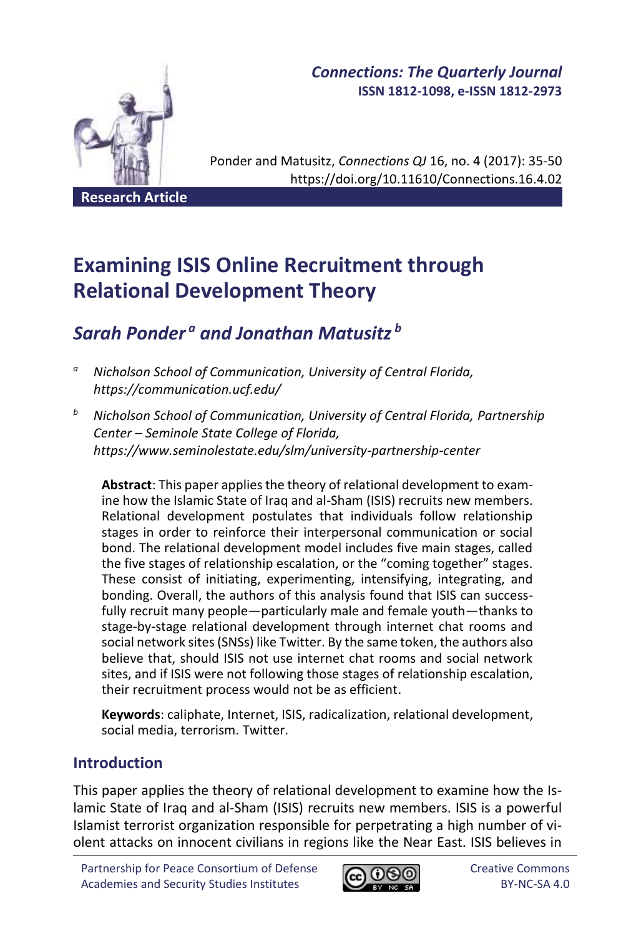

# *Connections: The Quarterly Journal* **ISSN 1812-1098, e-ISSN 1812-2973**

Ponder and Matusitz, *Connections QJ* 16, no. 4 (2017): 35-50 https://doi.org/10.11610/Connections.16.4.02

**Research Article**

# **Examining ISIS Online Recruitment through Relational Development Theory**

# *Sarah Ponder <sup>a</sup> and Jonathan Matusitz b*

- *<sup>a</sup> Nicholson School of Communication, University of Central Florida, https://communication.ucf.edu/*
- *<sup>b</sup> Nicholson School of Communication, University of Central Florida, Partnership Center – Seminole State College of Florida, https://www.seminolestate.edu/slm/university-partnership-center*

**Abstract**: This paper applies the theory of relational development to examine how the Islamic State of Iraq and al-Sham (ISIS) recruits new members. Relational development postulates that individuals follow relationship stages in order to reinforce their interpersonal communication or social bond. The relational development model includes five main stages, called the five stages of relationship escalation, or the "coming together" stages. These consist of initiating, experimenting, intensifying, integrating, and bonding. Overall, the authors of this analysis found that ISIS can successfully recruit many people—particularly male and female youth—thanks to stage-by-stage relational development through internet chat rooms and social network sites (SNSs) like Twitter. By the same token, the authors also believe that, should ISIS not use internet chat rooms and social network sites, and if ISIS were not following those stages of relationship escalation, their recruitment process would not be as efficient.

**Keywords**: caliphate, Internet, ISIS, radicalization, relational development, social media, terrorism. Twitter.

# **Introduction**

This paper applies the theory of relational development to examine how the Islamic State of Iraq and al-Sham (ISIS) recruits new members. ISIS is a powerful Islamist terrorist organization responsible for perpetrating a high number of violent attacks on innocent civilians in regions like the Near East. ISIS believes in

Partnership for Peace Consortium of Defense Academies and Security Studies Institutes

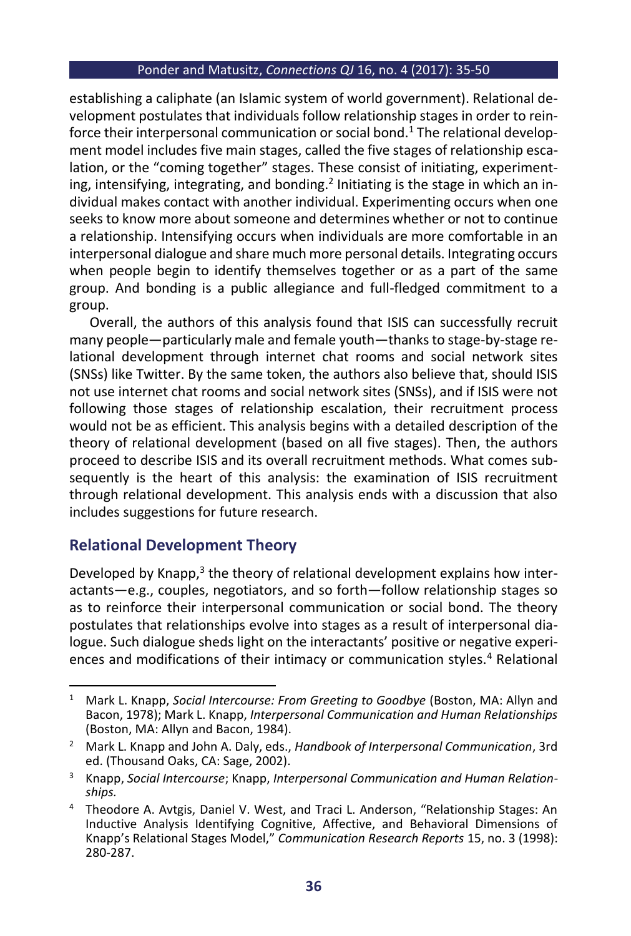establishing a caliphate (an Islamic system of world government). Relational development postulates that individuals follow relationship stages in order to reinforce their interpersonal communication or social bond.<sup>1</sup> The relational development model includes five main stages, called the five stages of relationship escalation, or the "coming together" stages. These consist of initiating, experimenting, intensifying, integrating, and bonding.<sup>2</sup> Initiating is the stage in which an individual makes contact with another individual. Experimenting occurs when one seeks to know more about someone and determines whether or not to continue a relationship. Intensifying occurs when individuals are more comfortable in an interpersonal dialogue and share much more personal details. Integrating occurs when people begin to identify themselves together or as a part of the same group. And bonding is a public allegiance and full-fledged commitment to a group.

Overall, the authors of this analysis found that ISIS can successfully recruit many people—particularly male and female youth—thanks to stage-by-stage relational development through internet chat rooms and social network sites (SNSs) like Twitter. By the same token, the authors also believe that, should ISIS not use internet chat rooms and social network sites (SNSs), and if ISIS were not following those stages of relationship escalation, their recruitment process would not be as efficient. This analysis begins with a detailed description of the theory of relational development (based on all five stages). Then, the authors proceed to describe ISIS and its overall recruitment methods. What comes subsequently is the heart of this analysis: the examination of ISIS recruitment through relational development. This analysis ends with a discussion that also includes suggestions for future research.

# **Relational Development Theory**

Developed by Knapp,<sup>3</sup> the theory of relational development explains how interactants—e.g., couples, negotiators, and so forth—follow relationship stages so as to reinforce their interpersonal communication or social bond. The theory postulates that relationships evolve into stages as a result of interpersonal dialogue. Such dialogue sheds light on the interactants' positive or negative experiences and modifications of their intimacy or communication styles.<sup>4</sup> Relational

 $\ddot{\phantom{a}}$ <sup>1</sup> Mark L. Knapp, *Social Intercourse: From Greeting to Goodbye* (Boston, MA: Allyn and Bacon, 1978); Mark L. Knapp, *Interpersonal Communication and Human Relationships* (Boston, MA: Allyn and Bacon, 1984).

<sup>2</sup> Mark L. Knapp and John A. Daly, eds., *Handbook of Interpersonal Communication*, 3rd ed. (Thousand Oaks, CA: Sage, 2002).

<sup>3</sup> Knapp, *Social Intercourse*; Knapp, *Interpersonal Communication and Human Relationships.*

<sup>4</sup> Theodore A. Avtgis, Daniel V. West, and Traci L. Anderson, "Relationship Stages: An Inductive Analysis Identifying Cognitive, Affective, and Behavioral Dimensions of Knapp's Relational Stages Model," *Communication Research Reports* 15, no. 3 (1998): 280-287.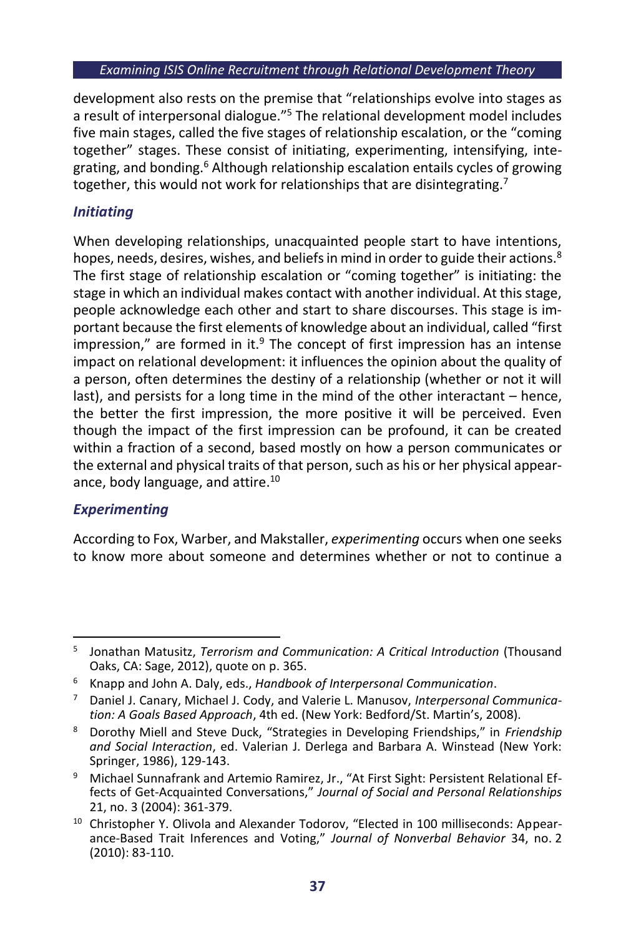development also rests on the premise that "relationships evolve into stages as a result of interpersonal dialogue." <sup>5</sup> The relational development model includes five main stages, called the five stages of relationship escalation, or the "coming together" stages. These consist of initiating, experimenting, intensifying, integrating, and bonding.<sup>6</sup> Although relationship escalation entails cycles of growing together, this would not work for relationships that are disintegrating.<sup>7</sup>

# *Initiating*

When developing relationships, unacquainted people start to have intentions, hopes, needs, desires, wishes, and beliefs in mind in order to guide their actions.<sup>8</sup> The first stage of relationship escalation or "coming together" is initiating: the stage in which an individual makes contact with another individual. At this stage, people acknowledge each other and start to share discourses. This stage is important because the first elements of knowledge about an individual, called "first impression," are formed in it. $9$  The concept of first impression has an intense impact on relational development: it influences the opinion about the quality of a person, often determines the destiny of a relationship (whether or not it will last), and persists for a long time in the mind of the other interactant – hence, the better the first impression, the more positive it will be perceived. Even though the impact of the first impression can be profound, it can be created within a fraction of a second, based mostly on how a person communicates or the external and physical traits of that person, such as his or her physical appearance, body language, and attire. 10

# *Experimenting*

According to Fox, Warber, and Makstaller, *experimenting* occurs when one seeks to know more about someone and determines whether or not to continue a

<sup>-</sup>5 Jonathan Matusitz, *Terrorism and Communication: A Critical Introduction* (Thousand Oaks, CA: Sage, 2012), quote on p. 365.

<sup>6</sup> Knapp and John A. Daly, eds., *Handbook of Interpersonal Communication*.

<sup>7</sup> Daniel J. Canary, Michael J. Cody, and Valerie L. Manusov, *Interpersonal Communication: A Goals Based Approach*, 4th ed. (New York: Bedford/St. Martin's, 2008).

<sup>8</sup> Dorothy Miell and Steve Duck, "Strategies in Developing Friendships," in *Friendship and Social Interaction*, ed. Valerian J. Derlega and Barbara A. Winstead (New York: Springer, 1986), 129-143.

<sup>9</sup> Michael Sunnafrank and Artemio Ramirez, Jr., "At First Sight: Persistent Relational Effects of Get-Acquainted Conversations," *Journal of Social and Personal Relationships* 21, no. 3 (2004): 361-379.

<sup>&</sup>lt;sup>10</sup> Christopher Y. Olivola and Alexander Todorov, "Elected in 100 milliseconds: Appearance-Based Trait Inferences and Voting," *Journal of Nonverbal Behavior* 34, no. 2 (2010): 83-110.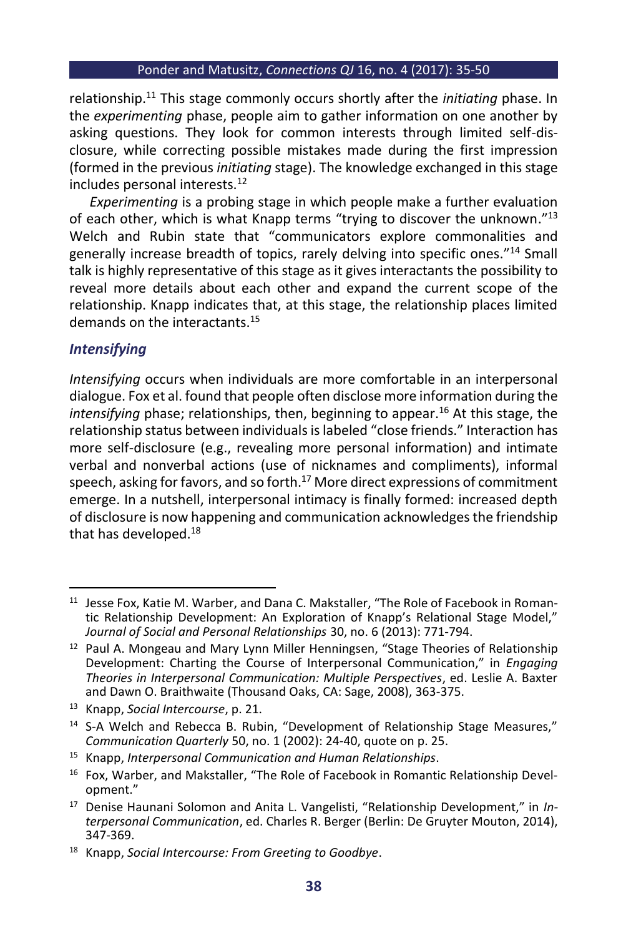relationship.<sup>11</sup> This stage commonly occurs shortly after the *initiating* phase. In the *experimenting* phase, people aim to gather information on one another by asking questions. They look for common interests through limited self-disclosure, while correcting possible mistakes made during the first impression (formed in the previous *initiating* stage). The knowledge exchanged in this stage includes personal interests.<sup>12</sup>

*Experimenting* is a probing stage in which people make a further evaluation of each other, which is what Knapp terms "trying to discover the unknown." 13 Welch and Rubin state that "communicators explore commonalities and generally increase breadth of topics, rarely delving into specific ones." <sup>14</sup> Small talk is highly representative of this stage as it gives interactants the possibility to reveal more details about each other and expand the current scope of the relationship. Knapp indicates that, at this stage, the relationship places limited demands on the interactants.<sup>15</sup>

## *Intensifying*

*Intensifying* occurs when individuals are more comfortable in an interpersonal dialogue. Fox et al. found that people often disclose more information during the *intensifying* phase; relationships, then, beginning to appear.<sup>16</sup> At this stage, the relationship status between individuals is labeled "close friends." Interaction has more self-disclosure (e.g., revealing more personal information) and intimate verbal and nonverbal actions (use of nicknames and compliments), informal speech, asking for favors, and so forth.<sup>17</sup> More direct expressions of commitment emerge. In a nutshell, interpersonal intimacy is finally formed: increased depth of disclosure is now happening and communication acknowledges the friendship that has developed.<sup>18</sup>

 $\overline{a}$ <sup>11</sup> Jesse Fox, Katie M. Warber, and Dana C. Makstaller, "The Role of Facebook in Romantic Relationship Development: An Exploration of Knapp's Relational Stage Model," *Journal of Social and Personal Relationships* 30, no. 6 (2013): 771-794.

<sup>&</sup>lt;sup>12</sup> Paul A. Mongeau and Mary Lynn Miller Henningsen, "Stage Theories of Relationship Development: Charting the Course of Interpersonal Communication," in *Engaging Theories in Interpersonal Communication: Multiple Perspectives*, ed. Leslie A. Baxter and Dawn O. Braithwaite (Thousand Oaks, CA: Sage, 2008), 363-375.

<sup>13</sup> Knapp, *Social Intercourse*, p. 21.

<sup>14</sup> S-A Welch and Rebecca B. Rubin, "Development of Relationship Stage Measures," *Communication Quarterly* 50, no. 1 (2002): 24-40, quote on p. 25.

<sup>15</sup> Knapp, *Interpersonal Communication and Human Relationships*.

<sup>&</sup>lt;sup>16</sup> Fox, Warber, and Makstaller, "The Role of Facebook in Romantic Relationship Development."

<sup>17</sup> Denise Haunani Solomon and Anita L. Vangelisti, "Relationship Development," in *Interpersonal Communication*, ed. Charles R. Berger (Berlin: De Gruyter Mouton, 2014), 347-369.

<sup>18</sup> Knapp, *Social Intercourse: From Greeting to Goodbye*.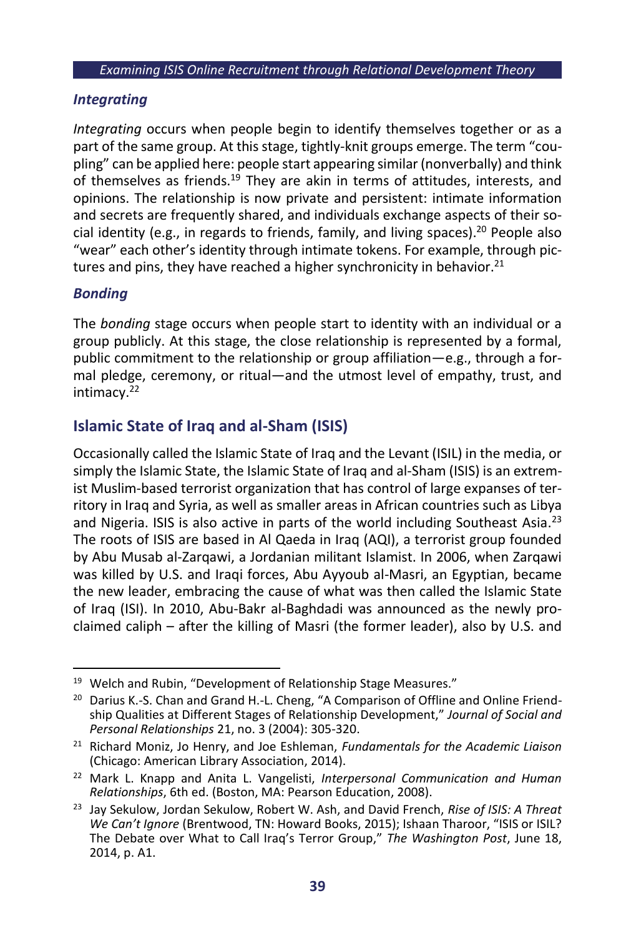## *Integrating*

*Integrating* occurs when people begin to identify themselves together or as a part of the same group. At this stage, tightly-knit groups emerge. The term "coupling" can be applied here: people start appearing similar (nonverbally) and think of themselves as friends.<sup>19</sup> They are akin in terms of attitudes, interests, and opinions. The relationship is now private and persistent: intimate information and secrets are frequently shared, and individuals exchange aspects of their social identity (e.g., in regards to friends, family, and living spaces).<sup>20</sup> People also "wear" each other's identity through intimate tokens. For example, through pictures and pins, they have reached a higher synchronicity in behavior. $21$ 

# *Bonding*

The *bonding* stage occurs when people start to identity with an individual or a group publicly. At this stage, the close relationship is represented by a formal, public commitment to the relationship or group affiliation—e.g., through a formal pledge, ceremony, or ritual—and the utmost level of empathy, trust, and intimacy.<sup>22</sup>

# **Islamic State of Iraq and al-Sham (ISIS)**

Occasionally called the Islamic State of Iraq and the Levant (ISIL) in the media, or simply the Islamic State, the Islamic State of Iraq and al-Sham (ISIS) is an extremist Muslim-based terrorist organization that has control of large expanses of territory in Iraq and Syria, as well as smaller areas in African countries such as Libya and Nigeria. ISIS is also active in parts of the world including Southeast Asia.<sup>23</sup> The roots of ISIS are based in Al Qaeda in Iraq (AQI), a terrorist group founded by Abu Musab al-Zarqawi, a Jordanian militant Islamist. In 2006, when Zarqawi was killed by U.S. and Iraqi forces, Abu Ayyoub al-Masri, an Egyptian, became the new leader, embracing the cause of what was then called the Islamic State of Iraq (ISI). In 2010, Abu-Bakr al-Baghdadi was announced as the newly proclaimed caliph – after the killing of Masri (the former leader), also by U.S. and

<sup>1</sup> <sup>19</sup> Welch and Rubin, "Development of Relationship Stage Measures."

 $20$  Darius K.-S. Chan and Grand H.-L. Cheng, "A Comparison of Offline and Online Friendship Qualities at Different Stages of Relationship Development," *Journal of Social and Personal Relationships* 21, no. 3 (2004): 305-320.

<sup>21</sup> Richard Moniz, Jo Henry, and Joe Eshleman, *Fundamentals for the Academic Liaison* (Chicago: American Library Association, 2014).

<sup>22</sup> Mark L. Knapp and Anita L. Vangelisti, *Interpersonal Communication and Human Relationships*, 6th ed. (Boston, MA: Pearson Education, 2008).

<sup>23</sup> Jay Sekulow, Jordan Sekulow, Robert W. Ash, and David French, *Rise of ISIS: A Threat We Can't Ignore* (Brentwood, TN: Howard Books, 2015); Ishaan Tharoor, "ISIS or ISIL? The Debate over What to Call Iraq's Terror Group," *The Washington Post*, June 18, 2014, p. A1.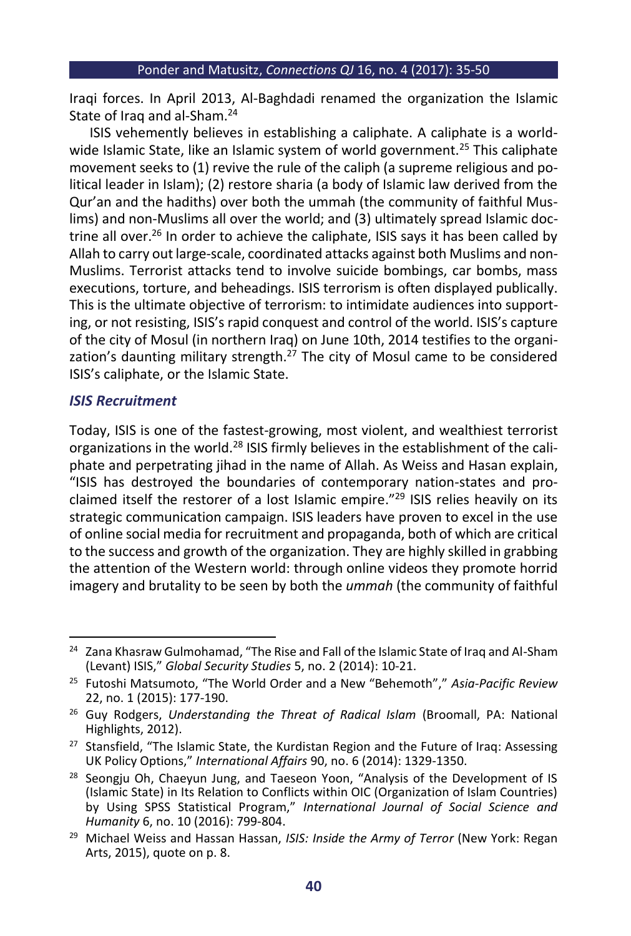Iraqi forces. In April 2013, Al-Baghdadi renamed the organization the Islamic State of Iraq and al-Sham.<sup>24</sup>

ISIS vehemently believes in establishing a caliphate. A caliphate is a worldwide Islamic State, like an Islamic system of world government.<sup>25</sup> This caliphate movement seeks to (1) revive the rule of the caliph (a supreme religious and political leader in Islam); (2) restore sharia (a body of Islamic law derived from the Qur'an and the hadiths) over both the ummah (the community of faithful Muslims) and non-Muslims all over the world; and (3) ultimately spread Islamic doctrine all over.<sup>26</sup> In order to achieve the caliphate, ISIS says it has been called by Allah to carry out large-scale, coordinated attacks against both Muslims and non-Muslims. Terrorist attacks tend to involve suicide bombings, car bombs, mass executions, torture, and beheadings. ISIS terrorism is often displayed publically. This is the ultimate objective of terrorism: to intimidate audiences into supporting, or not resisting, ISIS's rapid conquest and control of the world. ISIS's capture of the city of Mosul (in northern Iraq) on June 10th, 2014 testifies to the organization's daunting military strength.<sup>27</sup> The city of Mosul came to be considered ISIS's caliphate, or the Islamic State.

# *ISIS Recruitment*

Today, ISIS is one of the fastest-growing, most violent, and wealthiest terrorist organizations in the world.<sup>28</sup> ISIS firmly believes in the establishment of the caliphate and perpetrating jihad in the name of Allah. As Weiss and Hasan explain, "ISIS has destroyed the boundaries of contemporary nation-states and proclaimed itself the restorer of a lost Islamic empire." <sup>29</sup> ISIS relies heavily on its strategic communication campaign. ISIS leaders have proven to excel in the use of online social media for recruitment and propaganda, both of which are critical to the success and growth of the organization. They are highly skilled in grabbing the attention of the Western world: through online videos they promote horrid imagery and brutality to be seen by both the *ummah* (the community of faithful

<sup>1</sup> <sup>24</sup> Zana Khasraw Gulmohamad, "The Rise and Fall of the Islamic State of Iraq and Al-Sham (Levant) ISIS," *Global Security Studies* 5, no. 2 (2014): 10-21.

<sup>25</sup> Futoshi Matsumoto, "The World Order and a New "Behemoth"," *Asia-Pacific Review* 22, no. 1 (2015): 177-190.

<sup>26</sup> Guy Rodgers, *Understanding the Threat of Radical Islam* (Broomall, PA: National Highlights, 2012).

 $27$  Stansfield, "The Islamic State, the Kurdistan Region and the Future of Iraq: Assessing UK Policy Options," *International Affairs* 90, no. 6 (2014): 1329-1350.

<sup>&</sup>lt;sup>28</sup> Seongju Oh, Chaeyun Jung, and Taeseon Yoon, "Analysis of the Development of IS (Islamic State) in Its Relation to Conflicts within OIC (Organization of Islam Countries) by Using SPSS Statistical Program," *International Journal of Social Science and Humanity* 6, no. 10 (2016): 799-804.

<sup>29</sup> Michael Weiss and Hassan Hassan, *ISIS: Inside the Army of Terror* (New York: Regan Arts, 2015), quote on p. 8.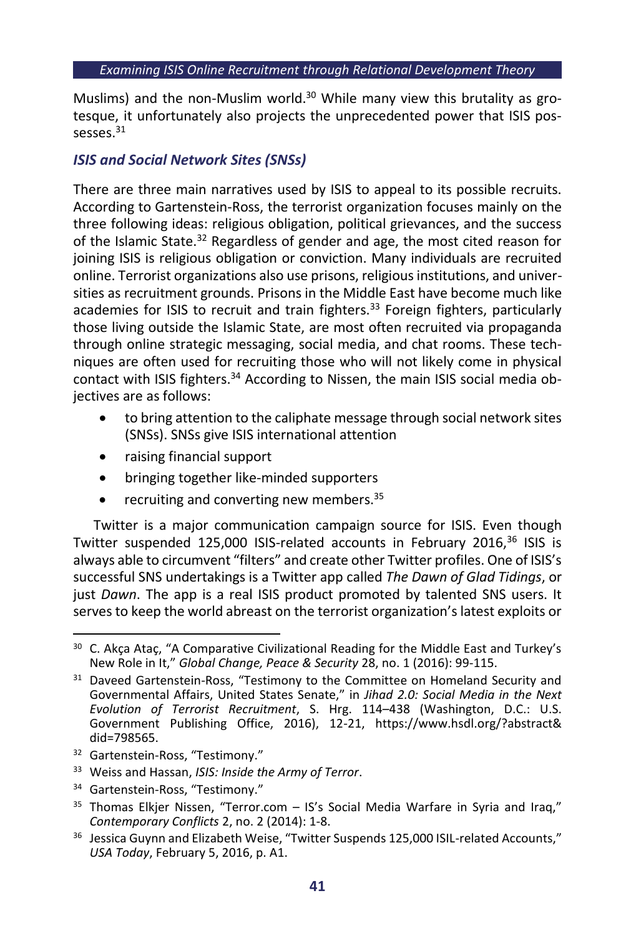Muslims) and the non-Muslim world.<sup>30</sup> While many view this brutality as grotesque, it unfortunately also projects the unprecedented power that ISIS pos $s^{6}$ sesses. $31$ 

# *ISIS and Social Network Sites (SNSs)*

There are three main narratives used by ISIS to appeal to its possible recruits. According to Gartenstein-Ross, the terrorist organization focuses mainly on the three following ideas: religious obligation, political grievances, and the success of the Islamic State. $32$  Regardless of gender and age, the most cited reason for joining ISIS is religious obligation or conviction. Many individuals are recruited online. Terrorist organizations also use prisons, religious institutions, and universities as recruitment grounds. Prisons in the Middle East have become much like academies for ISIS to recruit and train fighters.<sup>33</sup> Foreign fighters, particularly those living outside the Islamic State, are most often recruited via propaganda through online strategic messaging, social media, and chat rooms. These techniques are often used for recruiting those who will not likely come in physical contact with ISIS fighters.<sup>34</sup> According to Nissen, the main ISIS social media objectives are as follows:

- to bring attention to the caliphate message through social network sites (SNSs). SNSs give ISIS international attention
- raising financial support
- bringing together like-minded supporters
- $\bullet$  recruiting and converting new members.  $35$

Twitter is a major communication campaign source for ISIS. Even though Twitter suspended 125,000 ISIS-related accounts in February 2016,<sup>36</sup> ISIS is always able to circumvent "filters" and create other Twitter profiles. One of ISIS's successful SNS undertakings is a Twitter app called *The Dawn of Glad Tidings*, or just *Dawn*. The app is a real ISIS product promoted by talented SNS users. It serves to keep the world abreast on the terrorist organization's latest exploits or

- <sup>32</sup> Gartenstein-Ross, "Testimony."
- <sup>33</sup> Weiss and Hassan, *ISIS: Inside the Army of Terror*.
- <sup>34</sup> Gartenstein-Ross, "Testimony."

<sup>1</sup> <sup>30</sup> C. Akça Ataç, "A Comparative Civilizational Reading for the Middle East and Turkey's New Role in It," *Global Change, Peace & Security* 28, no. 1 (2016): 99-115.

<sup>&</sup>lt;sup>31</sup> Daveed Gartenstein-Ross, "Testimony to the Committee on Homeland Security and Governmental Affairs, United States Senate," in *Jihad 2.0: Social Media in the Next Evolution of Terrorist Recruitment*, S. Hrg. 114–438 (Washington, D.C.: U.S. Government Publishing Office, 2016), 12-21, https://www.hsdl.org/?abstract& did=798565.

 $35$  Thomas Elkjer Nissen, "Terror.com – IS's Social Media Warfare in Syria and Iraq," *Contemporary Conflicts* 2, no. 2 (2014): 1-8.

<sup>&</sup>lt;sup>36</sup> Jessica Guynn and Elizabeth Weise, "Twitter Suspends 125,000 ISIL-related Accounts," *USA Today*, February 5, 2016, p. A1.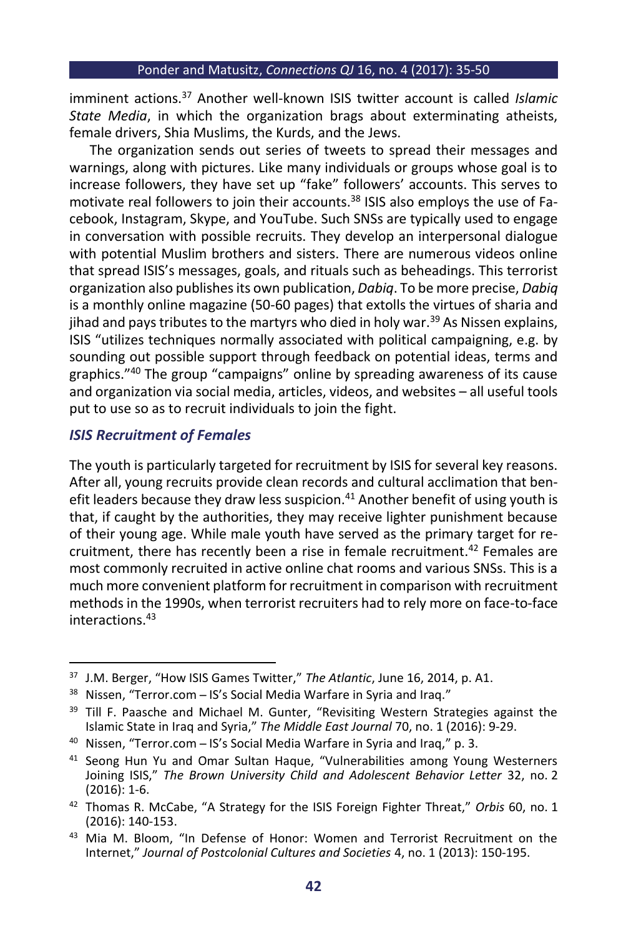imminent actions.<sup>37</sup> Another well-known ISIS twitter account is called *Islamic State Media*, in which the organization brags about exterminating atheists, female drivers, Shia Muslims, the Kurds, and the Jews.

The organization sends out series of tweets to spread their messages and warnings, along with pictures. Like many individuals or groups whose goal is to increase followers, they have set up "fake" followers' accounts. This serves to motivate real followers to join their accounts.<sup>38</sup> ISIS also employs the use of Facebook, Instagram, Skype, and YouTube. Such SNSs are typically used to engage in conversation with possible recruits. They develop an interpersonal dialogue with potential Muslim brothers and sisters. There are numerous videos online that spread ISIS's messages, goals, and rituals such as beheadings. This terrorist organization also publishes its own publication, *Dabiq*. To be more precise, *Dabiq* is a monthly online magazine (50-60 pages) that extolls the virtues of sharia and jihad and pays tributes to the martyrs who died in holy war.<sup>39</sup> As Nissen explains, ISIS "utilizes techniques normally associated with political campaigning, e.g. by sounding out possible support through feedback on potential ideas, terms and graphics." <sup>40</sup> The group "campaigns" online by spreading awareness of its cause and organization via social media, articles, videos, and websites – all useful tools put to use so as to recruit individuals to join the fight.

## *ISIS Recruitment of Females*

1

The youth is particularly targeted for recruitment by ISIS for several key reasons. After all, young recruits provide clean records and cultural acclimation that benefit leaders because they draw less suspicion.<sup>41</sup> Another benefit of using youth is that, if caught by the authorities, they may receive lighter punishment because of their young age. While male youth have served as the primary target for recruitment, there has recently been a rise in female recruitment. <sup>42</sup> Females are most commonly recruited in active online chat rooms and various SNSs. This is a much more convenient platform for recruitment in comparison with recruitment methods in the 1990s, when terrorist recruiters had to rely more on face-to-face interactions.<sup>43</sup>

<sup>37</sup> J.M. Berger, "How ISIS Games Twitter," *The Atlantic*, June 16, 2014, p. A1.

<sup>&</sup>lt;sup>38</sup> Nissen, "Terror.com – IS's Social Media Warfare in Syria and Iraq."

<sup>&</sup>lt;sup>39</sup> Till F. Paasche and Michael M. Gunter, "Revisiting Western Strategies against the Islamic State in Iraq and Syria," *The Middle East Journal* 70, no. 1 (2016): 9-29.

<sup>40</sup> Nissen, "Terror.com ̶ IS's Social Media Warfare in Syria and Iraq," p. 3.

<sup>41</sup> Seong Hun Yu and Omar Sultan Haque, "Vulnerabilities among Young Westerners Joining ISIS," *The Brown University Child and Adolescent Behavior Letter* 32, no. 2 (2016): 1-6.

<sup>42</sup> Thomas R. McCabe, "A Strategy for the ISIS Foreign Fighter Threat," *Orbis* 60, no. 1 (2016): 140-153.

<sup>&</sup>lt;sup>43</sup> Mia M. Bloom, "In Defense of Honor: Women and Terrorist Recruitment on the Internet," *Journal of Postcolonial Cultures and Societies* 4, no. 1 (2013): 150-195.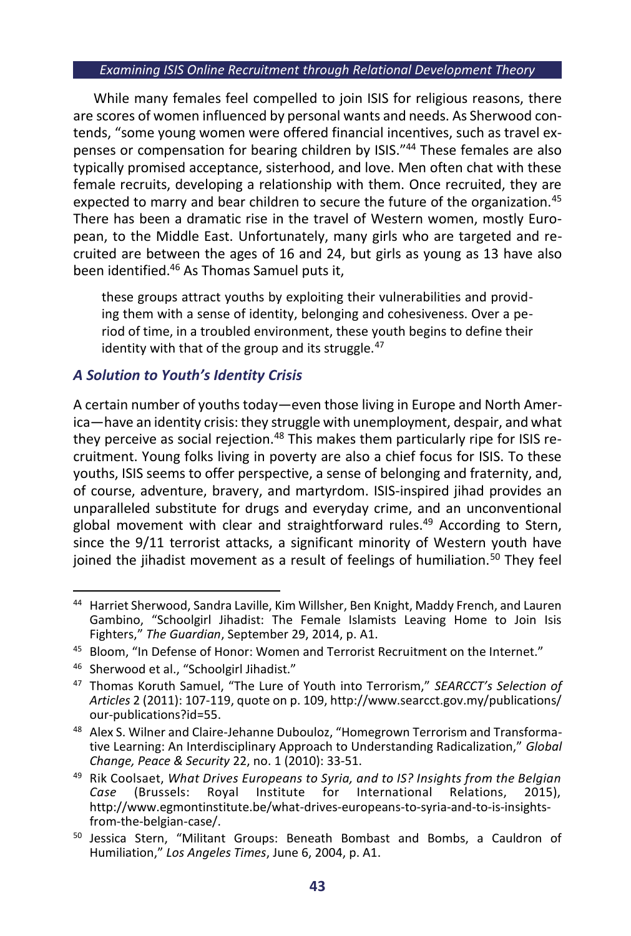While many females feel compelled to join ISIS for religious reasons, there are scores of women influenced by personal wants and needs. As Sherwood contends, "some young women were offered financial incentives, such as travel expenses or compensation for bearing children by ISIS." <sup>44</sup> These females are also typically promised acceptance, sisterhood, and love. Men often chat with these female recruits, developing a relationship with them. Once recruited, they are expected to marry and bear children to secure the future of the organization.<sup>45</sup> There has been a dramatic rise in the travel of Western women, mostly European, to the Middle East. Unfortunately, many girls who are targeted and recruited are between the ages of 16 and 24, but girls as young as 13 have also been identified. <sup>46</sup> As Thomas Samuel puts it,

these groups attract youths by exploiting their vulnerabilities and providing them with a sense of identity, belonging and cohesiveness. Over a period of time, in a troubled environment, these youth begins to define their identity with that of the group and its struggle.<sup>47</sup>

## *A Solution to Youth's Identity Crisis*

A certain number of youths today—even those living in Europe and North America—have an identity crisis: they struggle with unemployment, despair, and what they perceive as social rejection.<sup>48</sup> This makes them particularly ripe for ISIS recruitment. Young folks living in poverty are also a chief focus for ISIS. To these youths, ISIS seems to offer perspective, a sense of belonging and fraternity, and, of course, adventure, bravery, and martyrdom. ISIS-inspired jihad provides an unparalleled substitute for drugs and everyday crime, and an unconventional global movement with clear and straightforward rules.<sup>49</sup> According to Stern, since the 9/11 terrorist attacks, a significant minority of Western youth have joined the jihadist movement as a result of feelings of humiliation.<sup>50</sup> They feel

<sup>-</sup><sup>44</sup> Harriet Sherwood, Sandra Laville, Kim Willsher, Ben Knight, Maddy French, and Lauren Gambino, "Schoolgirl Jihadist: The Female Islamists Leaving Home to Join Isis Fighters," *The Guardian*, September 29, 2014, p. A1.

<sup>45</sup> Bloom, "In Defense of Honor: Women and Terrorist Recruitment on the Internet."

<sup>46</sup> Sherwood et al., "Schoolgirl Jihadist."

<sup>47</sup> Thomas Koruth Samuel, "The Lure of Youth into Terrorism," *SEARCCT's Selection of Articles* 2 (2011): 107-119, quote on p. 109, http://www.searcct.gov.my/publications/ our-publications?id=55.

<sup>48</sup> Alex S. Wilner and Claire-Jehanne Dubouloz, "Homegrown Terrorism and Transformative Learning: An Interdisciplinary Approach to Understanding Radicalization," *Global Change, Peace & Security* 22, no. 1 (2010): 33-51.

<sup>49</sup> Rik Coolsaet, *What Drives Europeans to Syria, and to IS? Insights from the Belgian Case* (Brussels: Royal Institute for International Relations, 2015), http://www.egmontinstitute.be/what-drives-europeans-to-syria-and-to-is-insightsfrom-the-belgian-case/.

<sup>50</sup> Jessica Stern, "Militant Groups: Beneath Bombast and Bombs, a Cauldron of Humiliation," *Los Angeles Times*, June 6, 2004, p. A1.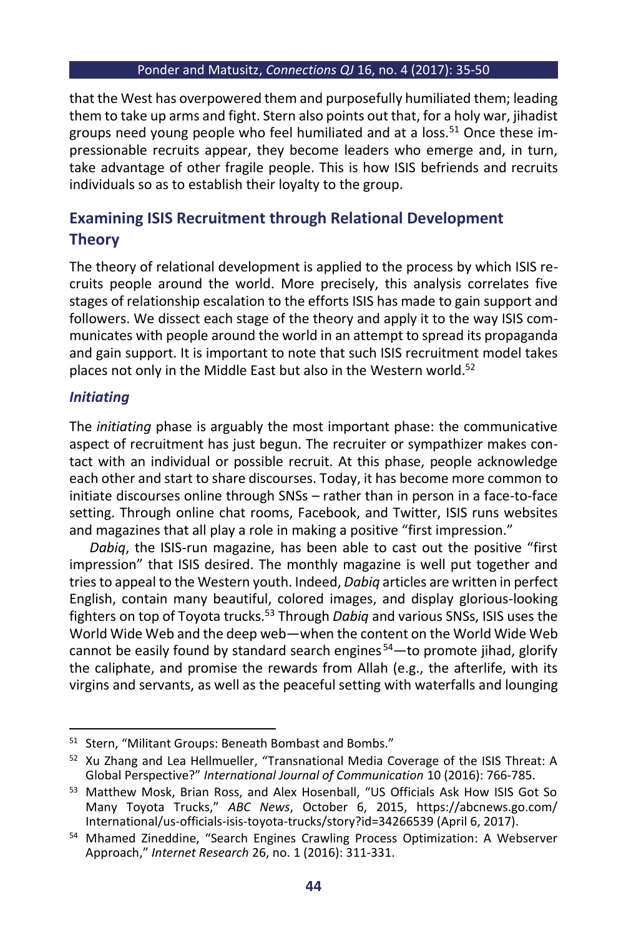that the West has overpowered them and purposefully humiliated them; leading them to take up arms and fight. Stern also points out that, for a holy war, jihadist groups need young people who feel humiliated and at a loss.<sup>51</sup> Once these impressionable recruits appear, they become leaders who emerge and, in turn, take advantage of other fragile people. This is how ISIS befriends and recruits individuals so as to establish their loyalty to the group.

# **Examining ISIS Recruitment through Relational Development Theory**

The theory of relational development is applied to the process by which ISIS recruits people around the world. More precisely, this analysis correlates five stages of relationship escalation to the efforts ISIS has made to gain support and followers. We dissect each stage of the theory and apply it to the way ISIS communicates with people around the world in an attempt to spread its propaganda and gain support. It is important to note that such ISIS recruitment model takes places not only in the Middle East but also in the Western world.<sup>52</sup>

# *Initiating*

 $\ddot{\phantom{a}}$ 

The *initiating* phase is arguably the most important phase: the communicative aspect of recruitment has just begun. The recruiter or sympathizer makes contact with an individual or possible recruit. At this phase, people acknowledge each other and start to share discourses. Today, it has become more common to initiate discourses online through SNSs – rather than in person in a face-to-face setting. Through online chat rooms, Facebook, and Twitter, ISIS runs websites and magazines that all play a role in making a positive "first impression."

*Dabiq*, the ISIS-run magazine, has been able to cast out the positive "first impression" that ISIS desired. The monthly magazine is well put together and tries to appeal to the Western youth. Indeed, *Dabiq* articles are written in perfect English, contain many beautiful, colored images, and display glorious-looking fighters on top of Toyota trucks.<sup>53</sup> Through *Dabiq* and various SNSs, ISIS uses the World Wide Web and the deep web—when the content on the World Wide Web cannot be easily found by standard search engines  $54$ —to promote jihad, glorify the caliphate, and promise the rewards from Allah (e.g., the afterlife, with its virgins and servants, as well as the peaceful setting with waterfalls and lounging

<sup>51</sup> Stern, "Militant Groups: Beneath Bombast and Bombs."

<sup>52</sup> Xu Zhang and Lea Hellmueller, "Transnational Media Coverage of the ISIS Threat: A Global Perspective?" *International Journal of Communication* 10 (2016): 766-785.

<sup>53</sup> Matthew Mosk, Brian Ross, and Alex Hosenball, "US Officials Ask How ISIS Got So Many Toyota Trucks," *ABC News*, October 6, 2015, https://abcnews.go.com/ International/us-officials-isis-toyota-trucks/story?id=34266539 (April 6, 2017).

<sup>54</sup> Mhamed Zineddine, "Search Engines Crawling Process Optimization: A Webserver Approach," *Internet Research* 26, no. 1 (2016): 311-331.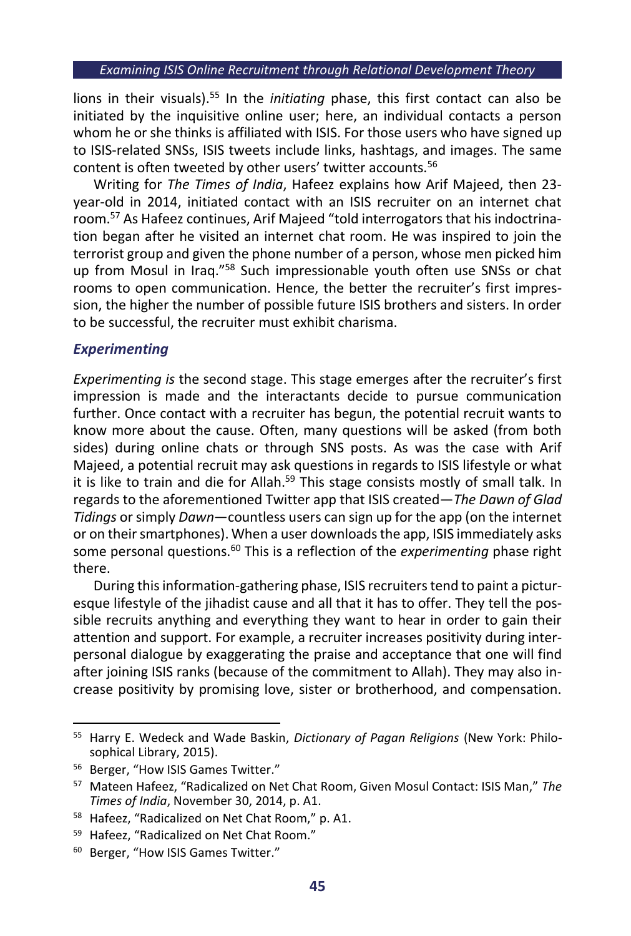lions in their visuals).<sup>55</sup> In the *initiating* phase, this first contact can also be initiated by the inquisitive online user; here, an individual contacts a person whom he or she thinks is affiliated with ISIS. For those users who have signed up to ISIS-related SNSs, ISIS tweets include links, hashtags, and images. The same content is often tweeted by other users' twitter accounts.<sup>56</sup>

Writing for *The Times of India*, Hafeez explains how Arif Majeed, then 23 year-old in 2014, initiated contact with an ISIS recruiter on an internet chat room.<sup>57</sup> As Hafeez continues, Arif Majeed "told interrogators that his indoctrination began after he visited an internet chat room. He was inspired to join the terrorist group and given the phone number of a person, whose men picked him up from Mosul in Iraq."<sup>58</sup> Such impressionable youth often use SNSs or chat rooms to open communication. Hence, the better the recruiter's first impression, the higher the number of possible future ISIS brothers and sisters. In order to be successful, the recruiter must exhibit charisma.

### *Experimenting*

*Experimenting is* the second stage. This stage emerges after the recruiter's first impression is made and the interactants decide to pursue communication further. Once contact with a recruiter has begun, the potential recruit wants to know more about the cause. Often, many questions will be asked (from both sides) during online chats or through SNS posts. As was the case with Arif Majeed, a potential recruit may ask questions in regards to ISIS lifestyle or what it is like to train and die for Allah.<sup>59</sup> This stage consists mostly of small talk. In regards to the aforementioned Twitter app that ISIS created—*The Dawn of Glad Tidings* or simply *Dawn*—countless users can sign up for the app (on the internet or on their smartphones). When a user downloads the app, ISIS immediately asks some personal questions.<sup>60</sup> This is a reflection of the *experimenting* phase right there.

During this information-gathering phase, ISIS recruiters tend to paint a picturesque lifestyle of the jihadist cause and all that it has to offer. They tell the possible recruits anything and everything they want to hear in order to gain their attention and support. For example, a recruiter increases positivity during interpersonal dialogue by exaggerating the praise and acceptance that one will find after joining ISIS ranks (because of the commitment to Allah). They may also increase positivity by promising love, sister or brotherhood, and compensation.

-

<sup>55</sup> Harry E. Wedeck and Wade Baskin, *Dictionary of Pagan Religions* (New York: Philosophical Library, 2015).

<sup>56</sup> Berger, "How ISIS Games Twitter."

<sup>57</sup> Mateen Hafeez, "Radicalized on Net Chat Room, Given Mosul Contact: ISIS Man," *The Times of India*, November 30, 2014, p. A1.

<sup>58</sup> Hafeez, "Radicalized on Net Chat Room," p. A1.

<sup>59</sup> Hafeez, "Radicalized on Net Chat Room."

<sup>&</sup>lt;sup>60</sup> Berger, "How ISIS Games Twitter."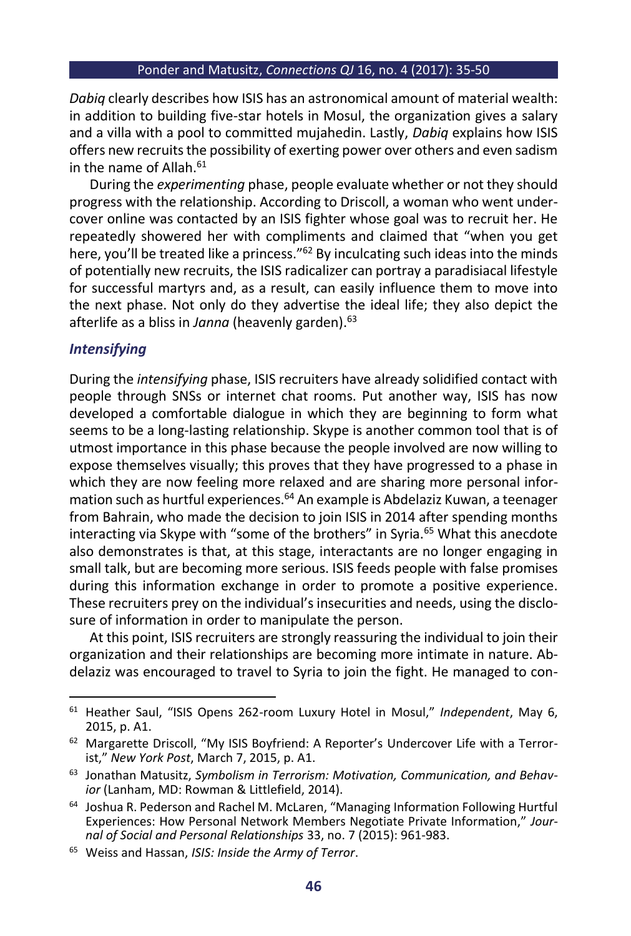*Dabiq* clearly describes how ISIS has an astronomical amount of material wealth: in addition to building five-star hotels in Mosul, the organization gives a salary and a villa with a pool to committed mujahedin. Lastly, *Dabiq* explains how ISIS offers new recruits the possibility of exerting power over others and even sadism in the name of Allah.<sup>61</sup>

During the *experimenting* phase, people evaluate whether or not they should progress with the relationship. According to Driscoll, a woman who went undercover online was contacted by an ISIS fighter whose goal was to recruit her. He repeatedly showered her with compliments and claimed that "when you get here, you'll be treated like a princess."<sup>62</sup> By inculcating such ideas into the minds of potentially new recruits, the ISIS radicalizer can portray a paradisiacal lifestyle for successful martyrs and, as a result, can easily influence them to move into the next phase. Not only do they advertise the ideal life; they also depict the afterlife as a bliss in *Janna* (heavenly garden).<sup>63</sup>

#### *Intensifying*

1

During the *intensifying* phase, ISIS recruiters have already solidified contact with people through SNSs or internet chat rooms. Put another way, ISIS has now developed a comfortable dialogue in which they are beginning to form what seems to be a long-lasting relationship. Skype is another common tool that is of utmost importance in this phase because the people involved are now willing to expose themselves visually; this proves that they have progressed to a phase in which they are now feeling more relaxed and are sharing more personal information such as hurtful experiences.<sup>64</sup> An example is Abdelaziz Kuwan, a teenager from Bahrain, who made the decision to join ISIS in 2014 after spending months interacting via Skype with "some of the brothers" in Syria.<sup>65</sup> What this anecdote also demonstrates is that, at this stage, interactants are no longer engaging in small talk, but are becoming more serious. ISIS feeds people with false promises during this information exchange in order to promote a positive experience. These recruiters prey on the individual's insecurities and needs, using the disclosure of information in order to manipulate the person.

At this point, ISIS recruiters are strongly reassuring the individual to join their organization and their relationships are becoming more intimate in nature. Abdelaziz was encouraged to travel to Syria to join the fight. He managed to con-

<sup>61</sup> Heather Saul, "ISIS Opens 262-room Luxury Hotel in Mosul," *Independent*, May 6, 2015, p. A1.

 $62$  Margarette Driscoll, "My ISIS Boyfriend: A Reporter's Undercover Life with a Terrorist," *New York Post*, March 7, 2015, p. A1.

<sup>63</sup> Jonathan Matusitz, *Symbolism in Terrorism: Motivation, Communication, and Behavior* (Lanham, MD: Rowman & Littlefield, 2014).

<sup>64</sup> Joshua R. Pederson and Rachel M. McLaren, "Managing Information Following Hurtful Experiences: How Personal Network Members Negotiate Private Information," *Journal of Social and Personal Relationships* 33, no. 7 (2015): 961-983.

<sup>65</sup> Weiss and Hassan, *ISIS: Inside the Army of Terror*.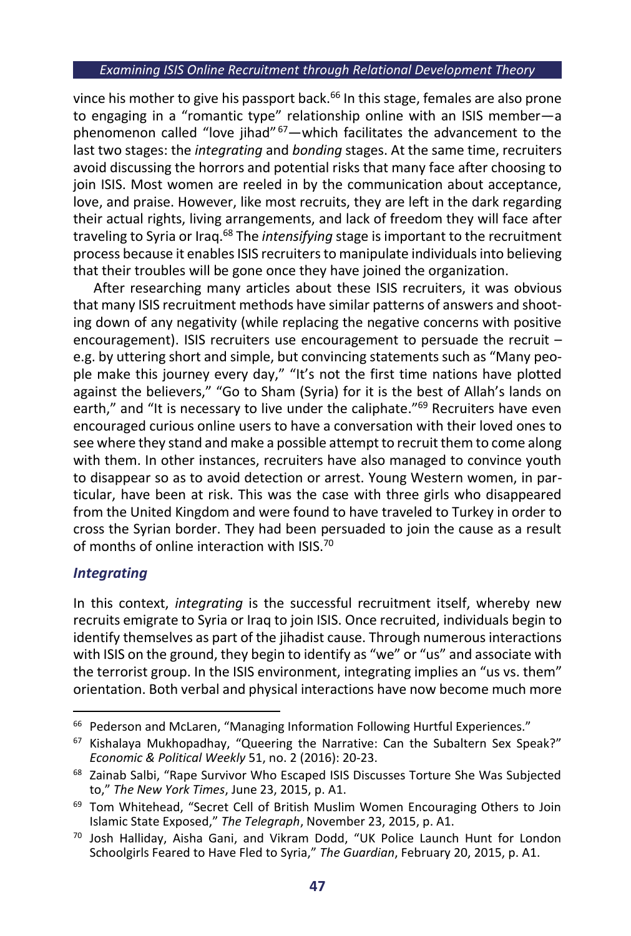vince his mother to give his passport back.<sup>66</sup> In this stage, females are also prone to engaging in a "romantic type" relationship online with an ISIS member—a phenomenon called "love jihad" <sup>67</sup> — which facilitates the advancement to the last two stages: the *integrating* and *bonding* stages. At the same time, recruiters avoid discussing the horrors and potential risks that many face after choosing to join ISIS. Most women are reeled in by the communication about acceptance, love, and praise. However, like most recruits, they are left in the dark regarding their actual rights, living arrangements, and lack of freedom they will face after traveling to Syria or Iraq.<sup>68</sup> The *intensifying* stage is important to the recruitment process because it enables ISIS recruiters to manipulate individuals into believing that their troubles will be gone once they have joined the organization.

After researching many articles about these ISIS recruiters, it was obvious that many ISIS recruitment methods have similar patterns of answers and shooting down of any negativity (while replacing the negative concerns with positive encouragement). ISIS recruiters use encouragement to persuade the recruit – e.g. by uttering short and simple, but convincing statements such as "Many people make this journey every day," "It's not the first time nations have plotted against the believers," "Go to Sham (Syria) for it is the best of Allah's lands on earth," and "It is necessary to live under the caliphate."<sup>69</sup> Recruiters have even encouraged curious online users to have a conversation with their loved ones to see where they stand and make a possible attempt to recruit them to come along with them. In other instances, recruiters have also managed to convince youth to disappear so as to avoid detection or arrest. Young Western women, in particular, have been at risk. This was the case with three girls who disappeared from the United Kingdom and were found to have traveled to Turkey in order to cross the Syrian border. They had been persuaded to join the cause as a result of months of online interaction with ISIS 70

## *Integrating*

In this context, *integrating* is the successful recruitment itself, whereby new recruits emigrate to Syria or Iraq to join ISIS. Once recruited, individuals begin to identify themselves as part of the jihadist cause. Through numerous interactions with ISIS on the ground, they begin to identify as "we" or "us" and associate with the terrorist group. In the ISIS environment, integrating implies an "us vs. them" orientation. Both verbal and physical interactions have now become much more

<sup>1</sup> <sup>66</sup> Pederson and McLaren, "Managing Information Following Hurtful Experiences."

 $67$  Kishalaya Mukhopadhay, "Queering the Narrative: Can the Subaltern Sex Speak?" *Economic & Political Weekly* 51, no. 2 (2016): 20-23.

<sup>&</sup>lt;sup>68</sup> Zainab Salbi, "Rape Survivor Who Escaped ISIS Discusses Torture She Was Subjected to," *The New York Times*, June 23, 2015, p. A1.

<sup>&</sup>lt;sup>69</sup> Tom Whitehead, "Secret Cell of British Muslim Women Encouraging Others to Join Islamic State Exposed," *The Telegraph*, November 23, 2015, p. A1.

<sup>70</sup> Josh Halliday, Aisha Gani, and Vikram Dodd, "UK Police Launch Hunt for London Schoolgirls Feared to Have Fled to Syria," *The Guardian*, February 20, 2015, p. A1.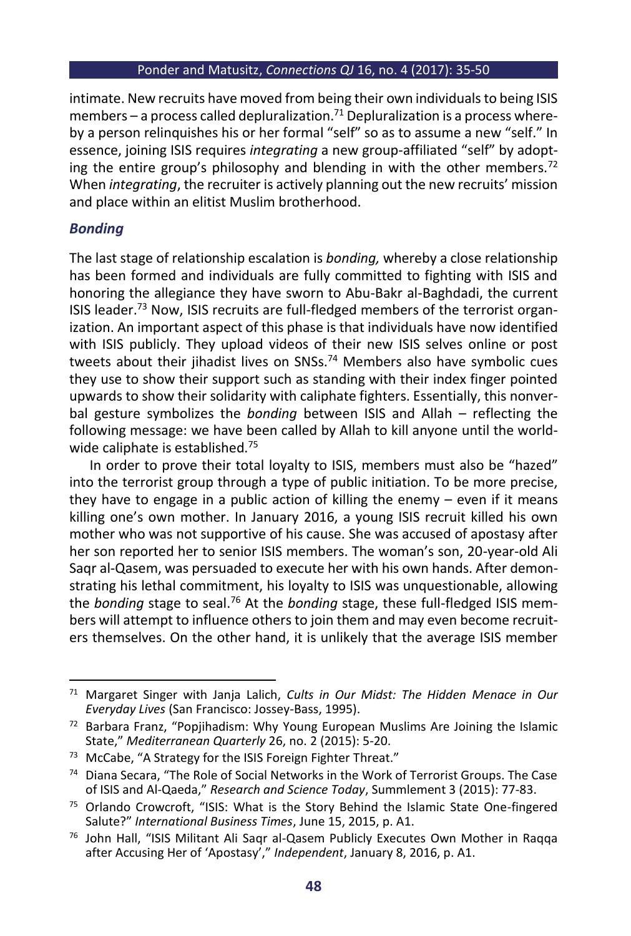intimate. New recruits have moved from being their own individuals to being ISIS members – a process called depluralization.<sup>71</sup> Depluralization is a process whereby a person relinquishes his or her formal "self" so as to assume a new "self." In essence, joining ISIS requires *integrating* a new group-affiliated "self" by adopting the entire group's philosophy and blending in with the other members.<sup>72</sup> When *integrating*, the recruiter is actively planning out the new recruits' mission and place within an elitist Muslim brotherhood.

## *Bonding*

1

The last stage of relationship escalation is *bonding,* whereby a close relationship has been formed and individuals are fully committed to fighting with ISIS and honoring the allegiance they have sworn to Abu-Bakr al-Baghdadi, the current ISIS leader.<sup>73</sup> Now, ISIS recruits are full-fledged members of the terrorist organization. An important aspect of this phase is that individuals have now identified with ISIS publicly. They upload videos of their new ISIS selves online or post tweets about their jihadist lives on SNSs.<sup>74</sup> Members also have symbolic cues they use to show their support such as standing with their index finger pointed upwards to show their solidarity with caliphate fighters. Essentially, this nonverbal gesture symbolizes the *bonding* between ISIS and Allah – reflecting the following message: we have been called by Allah to kill anyone until the worldwide caliphate is established.<sup>75</sup>

In order to prove their total loyalty to ISIS, members must also be "hazed" into the terrorist group through a type of public initiation. To be more precise, they have to engage in a public action of killing the enemy  $-$  even if it means killing one's own mother. In January 2016, a young ISIS recruit killed his own mother who was not supportive of his cause. She was accused of apostasy after her son reported her to senior ISIS members. The woman's son, 20-year-old Ali Saqr al-Qasem, was persuaded to execute her with his own hands. After demonstrating his lethal commitment, his loyalty to ISIS was unquestionable, allowing the *bonding* stage to seal.<sup>76</sup> At the *bonding* stage, these full-fledged ISIS members will attempt to influence others to join them and may even become recruiters themselves. On the other hand, it is unlikely that the average ISIS member

<sup>71</sup> Margaret Singer with Janja Lalich, *Cults in Our Midst: The Hidden Menace in Our Everyday Lives* (San Francisco: Jossey-Bass, 1995).

<sup>72</sup> Barbara Franz, "Popjihadism: Why Young European Muslims Are Joining the Islamic State," *Mediterranean Quarterly* 26, no. 2 (2015): 5-20.

<sup>&</sup>lt;sup>73</sup> McCabe, "A Strategy for the ISIS Foreign Fighter Threat."

<sup>&</sup>lt;sup>74</sup> Diana Secara, "The Role of Social Networks in the Work of Terrorist Groups. The Case of ISIS and Al-Qaeda," *Research and Science Today*, Summlement 3 (2015): 77-83.

<sup>75</sup> Orlando Crowcroft, "ISIS: What is the Story Behind the Islamic State One-fingered Salute?" *International Business Times*, June 15, 2015, p. A1.

<sup>76</sup> John Hall, "ISIS Militant Ali Saqr al-Qasem Publicly Executes Own Mother in Raqqa after Accusing Her of 'Apostasy'," *Independent*, January 8, 2016, p. A1.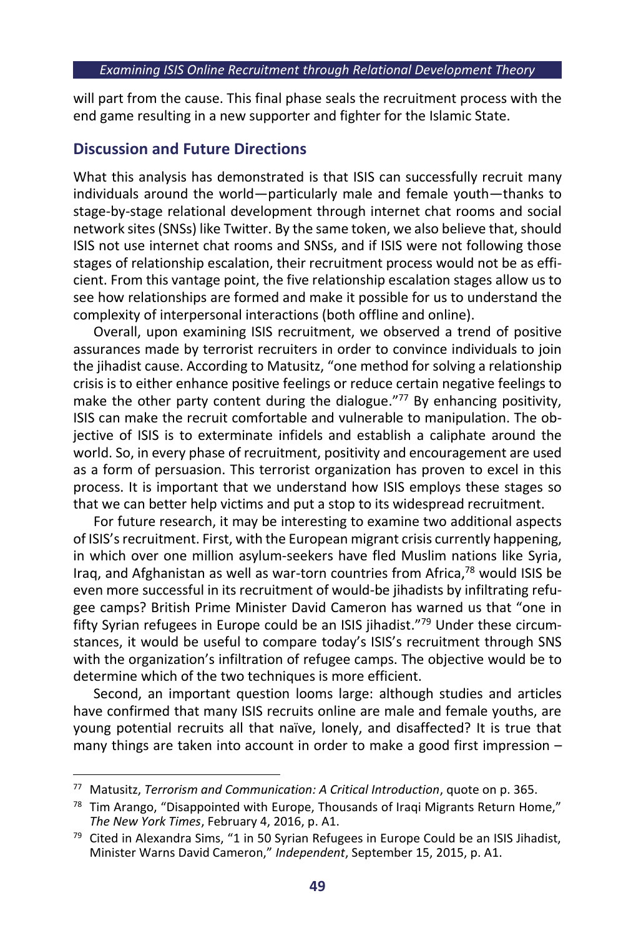will part from the cause. This final phase seals the recruitment process with the end game resulting in a new supporter and fighter for the Islamic State.

# **Discussion and Future Directions**

What this analysis has demonstrated is that ISIS can successfully recruit many individuals around the world—particularly male and female youth—thanks to stage-by-stage relational development through internet chat rooms and social network sites (SNSs) like Twitter. By the same token, we also believe that, should ISIS not use internet chat rooms and SNSs, and if ISIS were not following those stages of relationship escalation, their recruitment process would not be as efficient. From this vantage point, the five relationship escalation stages allow us to see how relationships are formed and make it possible for us to understand the complexity of interpersonal interactions (both offline and online).

Overall, upon examining ISIS recruitment, we observed a trend of positive assurances made by terrorist recruiters in order to convince individuals to join the jihadist cause. According to Matusitz, "one method for solving a relationship crisis is to either enhance positive feelings or reduce certain negative feelings to make the other party content during the dialogue." <sup>77</sup> By enhancing positivity, ISIS can make the recruit comfortable and vulnerable to manipulation. The objective of ISIS is to exterminate infidels and establish a caliphate around the world. So, in every phase of recruitment, positivity and encouragement are used as a form of persuasion. This terrorist organization has proven to excel in this process. It is important that we understand how ISIS employs these stages so that we can better help victims and put a stop to its widespread recruitment.

For future research, it may be interesting to examine two additional aspects of ISIS's recruitment. First, with the European migrant crisis currently happening, in which over one million asylum-seekers have fled Muslim nations like Syria, Iraq, and Afghanistan as well as war-torn countries from Africa, $78$  would ISIS be even more successful in its recruitment of would-be jihadists by infiltrating refugee camps? British Prime Minister David Cameron has warned us that "one in fifty Syrian refugees in Europe could be an ISIS jihadist." <sup>79</sup> Under these circumstances, it would be useful to compare today's ISIS's recruitment through SNS with the organization's infiltration of refugee camps. The objective would be to determine which of the two techniques is more efficient.

Second, an important question looms large: although studies and articles have confirmed that many ISIS recruits online are male and female youths, are young potential recruits all that naïve, lonely, and disaffected? It is true that many things are taken into account in order to make a good first impression –

-

<sup>77</sup> Matusitz, *Terrorism and Communication: A Critical Introduction*, quote on p. 365.

 $78$  Tim Arango, "Disappointed with Europe, Thousands of Iraqi Migrants Return Home," *The New York Times*, February 4, 2016, p. A1.

 $79$  Cited in Alexandra Sims, "1 in 50 Syrian Refugees in Europe Could be an ISIS Jihadist, Minister Warns David Cameron," *Independent*, September 15, 2015, p. A1.